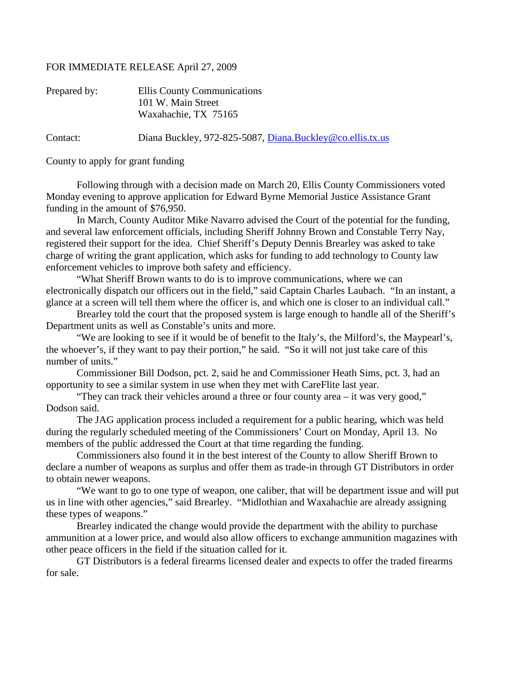## FOR IMMEDIATE RELEASE April 27, 2009

| Prepared by: | Ellis County Communications<br>101 W. Main Street<br>Waxahachie, TX 75165 |
|--------------|---------------------------------------------------------------------------|
| Contact:     | Diana Buckley, 972-825-5087, Diana.Buckley@co.ellis.tx.us                 |

County to apply for grant funding

Following through with a decision made on March 20, Ellis County Commissioners voted Monday evening to approve application for Edward Byrne Memorial Justice Assistance Grant funding in the amount of \$76,950.

In March, County Auditor Mike Navarro advised the Court of the potential for the funding, and several law enforcement officials, including Sheriff Johnny Brown and Constable Terry Nay, registered their support for the idea. Chief Sheriff's Deputy Dennis Brearley was asked to take charge of writing the grant application, which asks for funding to add technology to County law enforcement vehicles to improve both safety and efficiency.

"What Sheriff Brown wants to do is to improve communications, where we can electronically dispatch our officers out in the field," said Captain Charles Laubach. "In an instant, a glance at a screen will tell them where the officer is, and which one is closer to an individual call."

Brearley told the court that the proposed system is large enough to handle all of the Sheriff's Department units as well as Constable's units and more.

"We are looking to see if it would be of benefit to the Italy's, the Milford's, the Maypearl's, the whoever's, if they want to pay their portion," he said. "So it will not just take care of this number of units."

Commissioner Bill Dodson, pct. 2, said he and Commissioner Heath Sims, pct. 3, had an opportunity to see a similar system in use when they met with CareFlite last year.

"They can track their vehicles around a three or four county area – it was very good," Dodson said.

The JAG application process included a requirement for a public hearing, which was held during the regularly scheduled meeting of the Commissioners' Court on Monday, April 13. No members of the public addressed the Court at that time regarding the funding.

Commissioners also found it in the best interest of the County to allow Sheriff Brown to declare a number of weapons as surplus and offer them as trade-in through GT Distributors in order to obtain newer weapons.

"We want to go to one type of weapon, one caliber, that will be department issue and will put us in line with other agencies," said Brearley. "Midlothian and Waxahachie are already assigning these types of weapons."

Brearley indicated the change would provide the department with the ability to purchase ammunition at a lower price, and would also allow officers to exchange ammunition magazines with other peace officers in the field if the situation called for it.

GT Distributors is a federal firearms licensed dealer and expects to offer the traded firearms for sale.